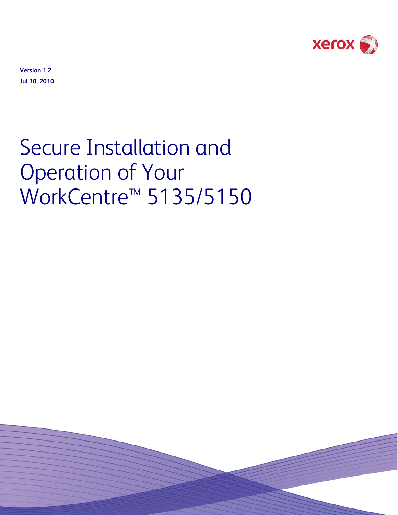

**Version 1.2 Jul 30, 2010** 

# Secure Installation and Operation of Your WorkCentre<sup>™</sup> 5135/5150

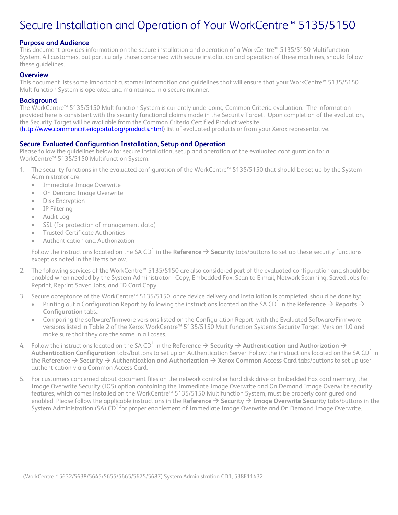# Secure Installation and Operation of Your WorkCentre™ 5135/5150

#### **Purpose and Audience**

This document provides information on the secure installation and operation of a WorkCentre™ 5135/5150 Multifunction System. All customers, but particularly those concerned with secure installation and operation of these machines, should follow these guidelines.

#### **Overview**

This document lists some important customer information and guidelines that will ensure that your WorkCentre™ 5135/5150 Multifunction System is operated and maintained in a secure manner.

#### **Background**

The WorkCentre™ 5135/5150 Multifunction System is currently undergoing Common Criteria evaluation. The information provided here is consistent with the security functional claims made in the Security Target. Upon completion of the evaluation, the Security Target will be available from the Common Criteria Certified Product website [\(http://www.commoncriteriaportal.org/products.html\)](http://www.commoncriteriaportal.org/products.html) list of evaluated products or from your Xerox representative.

#### **Secure Evaluated Configuration Installation, Setup and Operation**

Please follow the guidelines below for secure installation, setup and operation of the evaluated configuration for a WorkCentre™ 5135/5150 Multifunction System:

1. The security functions in the evaluated configuration of the WorkCentre™ 5135/5150 that should be set up by the System Administrator are:

- Immediate Image Overwrite
- On Demand Image Overwrite
- Disk Encryption
- IP Filtering
- Audit Log

È,

- SSL (for protection of management data)
- Trusted Certificate Authorities
- Authentication and Authorization

Follow the instructions located on the SA CD $^1$  $^1$  in the **Reference**  $\to$  **Security** tabs/buttons to set up these security functions except as noted in the items below.

- 2. The following services of the WorkCentre™ 5135/5150 are also considered part of the evaluated configuration and should be enabled when needed by the System Administrator - Copy, Embedded Fax, Scan to E-mail, Network Scanning, Saved Jobs for Reprint, Reprint Saved Jobs, and ID Card Copy.
- 3. Secure acceptance of the WorkCentre™ 5135/5150, once device delivery and installation is completed, should be done by:
	- $\bullet$  Printing out a Configuration Report by following the instructions located on the SA CD<sup>1</sup> in the **Reference**  $\to$  **Reports**  $\to$ **Configuration** tabs..
	- Comparing the software/firmware versions listed on the Configuration Report with the Evaluated Software/Firmware versions listed in Table 2 of the Xerox WorkCentre™ 5135/5150 Multifunction Systems Security Target, Version 1.0 and make sure that they are the same in all cases.
- 4. Follow the instructions located on the SA CD<sup>1</sup> in the **Reference**  $\to$  **Security**  $\to$  **Authentication and Authorization**  $\to$ **Authentication Configuration** tabs/buttons to set up an Authentication Server. Follow the instructions located on the SA CD<sup>1</sup> in the **Reference** → Security → Authentication and Authorization → Xerox Common Access Card tabs/buttons to set up user authentication via a Common Access Card.
- 5. For customers concerned about document files on the network controller hard disk drive or Embedded Fax card memory, the Image Overwrite Security (IOS) option containing the Immediate Image Overwrite and On Demand Image Overwrite security features, which comes installed on the WorkCentre™ 5135/5150 Multifunction System, must be properly configured and enabled. Please follow the applicable instructions in the Reference → Security → Image Overwrite Security tabs/buttons in the System Administration (SA) CD<sup>1</sup> for proper enablement of Immediate Image Overwrite and On Demand Image Overwrite.

<span id="page-1-0"></span><sup>1</sup> (WorkCentre™ 5632/5638/5645/5655/5665/5675/5687) System Administration CD1, 538E11432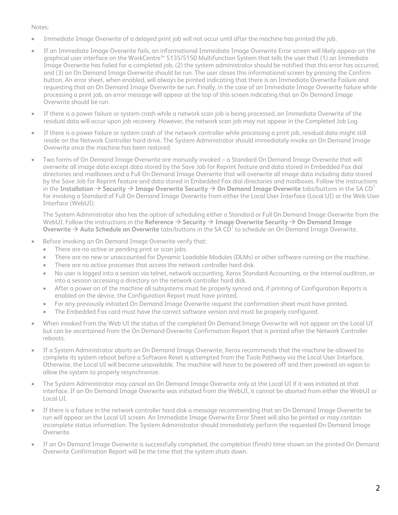#### Notes:

- Immediate Image Overwrite of a delayed print job will not occur until after the machine has printed the job.
- If an Immediate Image Overwrite fails, an informational Immediate Image Overwrite Error screen will likely appear on the graphical user interface on the WorkCentre™ 5135/5150 Multifunction System that tells the user that (1) an Immediate Image Overwrite has failed for a completed job, (2) the system administrator should be notified that this error has occurred, and (3) an On Demand Image Overwrite should be run. The user closes this informational screen by pressing the Confirm button. An error sheet, when enabled, will always be printed indicating that there is an Immediate Overwrite Failure and requesting that an On Demand Image Overwrite be run. Finally, in the case of an Immediate Image Overwrite failure while processing a print job, an error message will appear at the top of this screen indicating that an On Demand Image Overwrite should be run.
- If there is a power failure or system crash while a network scan job is being processed, an Immediate Overwrite of the residual data will occur upon job recovery. However, the network scan job may not appear in the Completed Job Log.
- If there is a power failure or system crash of the network controller while processing a print job, residual data might still reside on the Network Controller hard drive. The System Administrator should immediately invoke an On Demand Image Overwrite once the machine has been restored.
- Two forms of On Demand Image Overwrite are manually invoked a Standard On Demand Image Overwrite that will overwrite all image data except data stored by the Save Job for Reprint feature and data stored in Embedded Fax dial directories and mailboxes and a Full On Demand Image Overwrite that will overwrite all image data including data stored by the Save Job for Reprint feature and data stored in Embedded Fax dial directories and mailboxes. Follow the instructions in the **Installation**  $\rightarrow$  Security  $\rightarrow$  Image Overwrite Security  $\rightarrow$  On Demand Image Overwrite tabs/buttons in the SA CD<sup>1</sup> for invoking a Standard of Full On Demand Image Overwrite from either the Local User Interface (Local UI) or the Web User Interface (WebUI).

The System Administrator also has the option of scheduling either a Standard or Full On Demand Image Overwrite from the WebUI. Follow the instructions in the Reference  $\rightarrow$  Security  $\rightarrow$  Image Overwrite Security  $\rightarrow$  On Demand Image **Overwrite → Auto Schedule an Overwrite** tabs/buttons in the SA CD<sup>1</sup> to schedule an On Demand Image Overwrite.

- Before invoking an On Demand Image Overwrite verify that:
	- There are no active or pending print or scan jobs.
	- There are no new or unaccounted for Dynamic Loadable Modules (DLMs) or other software running on the machine.
	- There are no active processes that access the network controller hard disk.
	- No user is logged into a session via telnet, network accounting, Xerox Standard Accounting, or the internal auditron, or into a session accessing a directory on the network controller hard disk.
	- After a power on of the machine all subsystems must be properly synced and, if printing of Configuration Reports is enabled on the device, the Configuration Report must have printed.
	- For any previously initiated On Demand Image Overwrite request the confirmation sheet must have printed.
	- The Embedded Fax card must have the correct software version and must be properly configured.
- When invoked from the Web UI the status of the completed On Demand Image Overwrite will not appear on the Local UI but can be ascertained from the On Demand Overwrite Confirmation Report that is printed after the Network Controller reboots.
- If a System Administrator aborts an On Demand Image Overwrite, Xerox recommends that the machine be allowed to complete its system reboot before a Software Reset is attempted from the Tools Pathway via the Local User Interface. Otherwise, the Local UI will become unavailable. The machine will have to be powered off and then powered on again to allow the system to properly resynchronize.
- The System Administrator may cancel an On Demand Image Overwrite only at the Local UI if it was initiated at that interface. If an On Demand Image Overwrite was initiated from the WebUI, it cannot be aborted from either the WebUI or Local UI.
- If there is a failure in the network controller hard disk a message recommending that an On Demand Image Overwrite be run will appear on the Local UI screen. An Immediate Image Overwrite Error Sheet will also be printed or may contain incomplete status information. The System Administrator should immediately perform the requested On Demand Image Overwrite.
- If an On Demand Image Overwrite is successfully completed, the completion (finish) time shown on the printed On Demand Overwrite Confirmation Report will be the time that the system shuts down.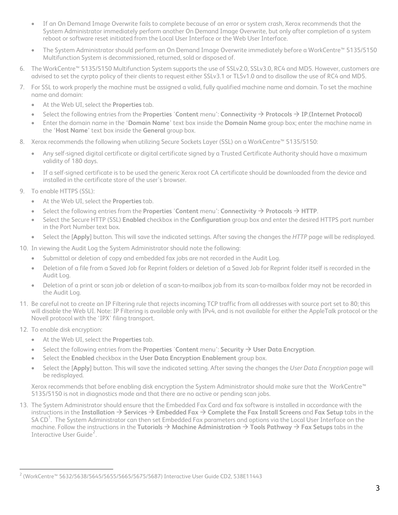- If an On Demand Image Overwrite fails to complete because of an error or system crash, Xerox recommends that the System Administrator immediately perform another On Demand Image Overwrite, but only after completion of a system reboot or software reset initiated from the Local User Interface or the Web User Interface.
- The System Administrator should perform an On Demand Image Overwrite immediately before a WorkCentre™ 5135/5150 Multifunction System is decommissioned, returned, sold or disposed of.
- 6. The WorkCentre™ 5135/5150 Multifunction System supports the use of SSLv2.0, SSLv3.0, RC4 and MD5. However, customers are advised to set the cyrpto policy of their clients to request either SSLv3.1 or TLSv1.0 and to disallow the use of RC4 and MD5.
- 7. For SSL to work properly the machine must be assigned a valid, fully qualified machine name and domain. To set the machine name and domain:
	- At the Web UI, select the **Properties** tab.
	- Select the following entries from the Properties 'Content menu': Connectivity  $\rightarrow$  Protocols  $\rightarrow$  IP.(Internet Protocol)
	- Enter the domain name in the '**Domain Name**' text box inside the **Domain Name** group box; enter the machine name in the '**Host Name**' text box inside the **General** group box.
- 8. Xerox recommends the following when utilizing Secure Sockets Layer (SSL) on a WorkCentre™ 5135/5150:
	- Any self-signed digital certificate or digital certificate signed by a Trusted Certificate Authority should have a maximum validity of 180 days.
	- If a self-signed certificate is to be used the generic Xerox root CA certificate should be downloaded from the device and installed in the certificate store of the user's browser.
- 9. To enable HTTPS (SSL):
	- At the Web UI, select the **Properties** tab.
	- Select the following entries from the **Properties** 'Content menu': Connectivity  $\rightarrow$  Protocols  $\rightarrow$  HTTP.
	- Select the Secure HTTP (SSL) **Enabled** checkbox in the **Configuration** group box and enter the desired HTTPS port number in the Port Number text box.
	- Select the [**Apply**] button. This will save the indicated settings. After saving the changes the *HTTP* page will be redisplayed.
- 10. In viewing the Audit Log the System Administrator should note the following:
	- Submittal or deletion of copy and embedded fax jobs are not recorded in the Audit Log.
	- Deletion of a file from a Saved Job for Reprint folders or deletion of a Saved Job for Reprint folder itself is recorded in the Audit Log.
	- Deletion of a print or scan job or deletion of a scan-to-mailbox job from its scan-to-mailbox folder may not be recorded in the Audit Log.
- 11. Be careful not to create an IP Filtering rule that rejects incoming TCP traffic from all addresses with source port set to 80; this will disable the Web UI. Note: IP Filtering is available only with IPv4, and is not available for either the AppleTalk protocol or the Novell protocol with the 'IPX' filing transport.
- 12. To enable disk encryption:

È,

- At the Web UI, select the **Properties** tab.
- Select the following entries from the **Properties** 'Content menu': Security  $\rightarrow$  User Data Encryption.
- Select the **Enabled** checkbox in the **User Data Encryption Enablement** group box.
- Select the [**Apply**] button. This will save the indicated setting. After saving the changes the *User Data Encryption* page will be redisplayed.

Xerox recommends that before enabling disk encryption the System Administrator should make sure that the WorkCentre™ 5135/5150 is not in diagnostics mode and that there are no active or pending scan jobs.

13. The System Administrator should ensure that the Embedded Fax Card and fax software is installed in accordance with the instructions in the Installation  $\rightarrow$  Services  $\rightarrow$  Embedded Fax  $\rightarrow$  Complete the Fax Install Screens and Fax Setup tabs in the SA CD<sup>1</sup>. The System Administrator can then set Embedded Fax parameters and options via the Local User Interface on the machine. Follow the instructions in the **Tutorials** → Machine Administration → Tools Pathway → Fax Setups tabs in the Interactive User Guide<sup>[2](#page-3-0)</sup>.

<span id="page-3-0"></span> $^2$  (WorkCentre™ 5632/5638/5645/5655/5665/5675/5687) Interactive User Guide CD2, 538E11443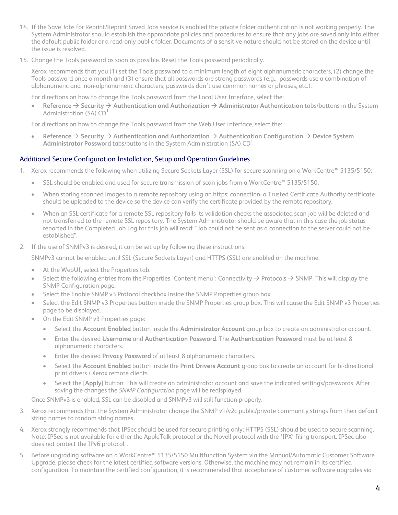- 14. If the Save Jobs for Reprint/Reprint Saved Jobs service is enabled the private folder authentication is not working properly. The System Administrator should establish the appropriate policies and procedures to ensure that any jobs are saved only into either the default public folder or a read-only public folder. Documents of a sensitive nature should not be stored on the device until the issue is resolved.
- 15. Change the Tools password as soon as possible. Reset the Tools password periodically.

Xerox recommends that you (1) set the Tools password to a minimum length of eight alphanumeric characters, (2) change the Tools password once a month and (3) ensure that all passwords are strong passwords (e.g., passwords use a combination of alphanumeric and non-alphanumeric characters; passwords don't use common names or phrases, etc.).

For directions on how to change the Tools password from the Local User Interface, select the:

**Reference → Security → Authentication and Authorization → Administrator Authentication tabs/buttons in the System** Administration (SA) CD

For directions on how to change the Tools password from the Web User Interface, select the:

**Reference** → Security → Authentication and Authorization → Authentication Configuration → Device System Administrator Password tabs/buttons in the System Administration (SA) CD<sup>1</sup>

## Additional Secure Configuration Installation, Setup and Operation Guidelines

- 1. Xerox recommends the following when utilizing Secure Sockets Layer (SSL) for secure scanning on a WorkCentre™ 5135/5150:
	- SSL should be enabled and used for secure transmission of scan jobs from a WorkCentre™ 5135/5150.
	- When storing scanned images to a remote repository using an https: connection, a Trusted Certificate Authority certificate should be uploaded to the device so the device can verify the certificate provided by the remote repository.
	- When an SSL certificate for a remote SSL repository fails its validation checks the associated scan job will be deleted and not transferred to the remote SSL repository. The System Administrator should be aware that in this case the job status reported in the Completed Job Log for this job will read: "Job could not be sent as a connection to the server could not be established".
- 2. If the use of SNMPv3 is desired, it can be set up by following these instructions:

SNMPv3 cannot be enabled until SSL (Secure Sockets Layer) and HTTPS (SSL) are enabled on the machine.

- At the WebUI, select the Properties tab.
- Select the following entries from the Properties 'Content menu': Connectivity  $\rightarrow$  Protocols  $\rightarrow$  SNMP. This will display the SNMP Configuration page.
- Select the Enable SNMP v3 Protocol checkbox inside the SNMP Properties group box.
- Select the Edit SNMP v3 Properties button inside the SNMP Properties group box. This will cause the Edit SNMP v3 Properties page to be displayed.
- On the Edit SNMP v3 Properties page:
	- Select the **Account Enabled** button inside the **Administrator Account** group box to create an administrator account.
	- Enter the desired **Username** and **Authentication Password**. The **Authentication Password** must be at least 8 alphanumeric characters.
	- Enter the desired **Privacy Password** of at least 8 alphanumeric characters.
	- Select the **Account Enabled** button inside the **Print Drivers Account** group box to create an account for bi-directional print drivers / Xerox remote clients.
	- Select the [**Apply**] button. This will create an administrator account and save the indicated settings/passwords. After saving the changes the *SNMP Configuration* page will be redisplayed.

Once SNMPv3 is enabled, SSL can be disabled and SNMPv3 will still function properly.

- 3. Xerox recommends that the System Administrator change the SNMP v1/v2c public/private community strings from their default string names to random string names.
- 4. Xerox strongly recommends that IPSec should be used for secure printing only; HTTPS (SSL) should be used to secure scanning. Note: IPSec is not available for either the AppleTalk protocol or the Novell protocol with the 'IPX' filing transport. IPSec also does not protect the IPv6 protocol. .
- 5. Before upgrading software on a WorkCentre™ 5135/5150 Multifunction System via the Manual/Automatic Customer Software Upgrade, please check for the latest certified software versions. Otherwise, the machine may not remain in its certified configuration. To maintain the certified configuration, it is recommended that acceptance of customer software upgrades via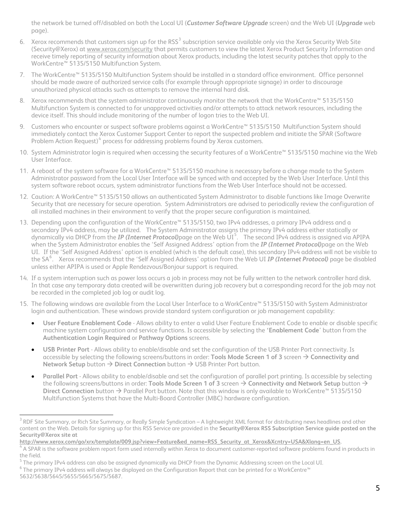the network be turned off/disabled on both the Local UI (*Customer Software Upgrade* screen) and the Web UI (*Upgrade* web page).

- 6. Xerox recommends that customers sign up for the RSS<sup>[3](#page-5-0)</sup> subscription service available only via the Xerox Security Web Site (Security@Xerox) at [www.xerox.com/security](http://www.xerox.com/security) that permits customers to view the latest Xerox Product Security Information and receive timely reporting of security information about Xerox products, including the latest security patches that apply to the WorkCentre™ 5135/5150 Multifunction System.
- 7. The WorkCentre™ 5135/5150 Multifunction System should be installed in a standard office environment. Office personnel should be made aware of authorized service calls (for example through appropriate signage) in order to discourage unauthorized physical attacks such as attempts to remove the internal hard disk.
- 8. Xerox recommends that the system administrator continuously monitor the network that the WorkCentre™ 5135/5150 Multifunction System is connected to for unapproved activities and/or attempts to attack network resources, including the device itself. This should include monitoring of the number of logon tries to the Web UI.
- 9. Customers who encounter or suspect software problems against a WorkCentre™ 5135/5150 Multifunction System should immediately contact the Xerox Customer Support Center to report the suspected problem and initiate the SPAR (Software Problem Action Request)<sup>[4](#page-5-1)</sup> process for addressing problems found by Xerox customers.
- 10. System Administrator login is required when accessing the security features of a WorkCentre™ 5135/5150 machine via the Web User Interface.
- 11. A reboot of the system software for a WorkCentre™ 5135/5150 machine is necessary before a change made to the System Administrator password from the Local User Interface will be synced with and accepted by the Web User Interface. Until this system software reboot occurs, system administrator functions from the Web User Interface should not be accessed.
- 12. Caution: A WorkCentre™ 5135/5150 allows an authenticated System Administrator to disable functions like Image Overwrite Security that are necessary for secure operation. System Administrators are advised to periodically review the configuration of all installed machines in their environment to verify that the proper secure configuration is maintained.
- 13. Depending upon the configuration of the WorkCentre™ 5135/5150, two IPv4 addresses, a primary IPv4 address and a secondary IPv4 address, may be utilized. The System Administrator assigns the primary IPv4 address either statically or dynamically via DHCP from the **IP (Internet Protocol)**page on the Web UI<sup>[5](#page-5-2)</sup>. The second IPv4 address is assigned via APIPA when the System Administrator enables the 'Self Assigned Address' option from the *IP (Internet Protocol)*page on the Web UI. If the 'Self Assigned Address' option is enabled (which is the default case), this secondary IPv4 address will not be visible to the SA[6](#page-5-3) . Xerox recommends that the 'Self Assigned Address' option from the Web UI *IP (Internet Protocol)* page be disabled unless either APIPA is used or Apple Rendezvous/Bonjour support is required.
- 14. If a system interruption such as power loss occurs a job in process may not be fully written to the network controller hard disk. In that case any temporary data created will be overwritten during job recovery but a corresponding record for the job may not be recorded in the completed job log or audit log.
- 15. The following windows are available from the Local User Interface to a WorkCentre™ 5135/5150 with System Administrator login and authentication. These windows provide standard system configuration or job management capability:
	- **User Feature Enablement Code** Allows ability to enter a valid User Feature Enablement Code to enable or disable specific machine system configuration and service functions. Is accessible by selecting the **'Enablement Code**' button from the **Authentication Login Required** or **Pathway Options** screens.
	- **USB Printer Port** Allows ability to enable/disable and set the configuration of the USB Printer Port connectivity. Is accessible by selecting the following screens/buttons in order: **Tools Mode Screen 1 of 3** screen  $\rightarrow$  **Connectivity and Network Setup** button → Direct Connection button → USB Printer Port button.
	- **Parallel Port** Allows ability to enable/disable and set the configuration of parallel port printing. Is accessible by selecting the following screens/buttons in order: **Tools Mode Screen 1 of 3** screen  $\rightarrow$  **Connectivity and Network Setup** button  $\rightarrow$ Direct Connection button → Parallel Port button. Note that this window is only available to WorkCentre™ 5135/5150 Multifunction Systems that have the Multi-Board Controller (MBC) hardware configuration.

<span id="page-5-0"></span> 3 RDF Site Summary, or Rich Site Summary, or Really Simple Syndication – A lightweight XML format for distributing news headlines and other content on the Web. Details for signing up for this RSS Service are provided in the **Security@Xerox RSS Subscription Service guide posted on the Security@Xerox site at** 

**[http://www.xerox.com/go/xrx/template/009.jsp?view=Feature&ed\\_name=RSS\\_Security\\_at\\_Xerox&Xcntry=USA&Xlang=en\\_US.](http://www.xerox.com/go/xrx/template/009.jsp?view=Feature&ed_name=RSS_Security_at_Xerox&Xcntry=USA&Xlang=en_US)** <sup>4</sup>

<span id="page-5-1"></span> $^4$  A SPAR is the software problem report form used internally within Xerox to document customer-reported software problems found in products in the field.

<span id="page-5-2"></span> $^5$  The primary IPv4 address can also be assigned dynamically via DHCP from the Dynamic Addressing screen on the Local UI.<br> $^6$  The primary IPv4 address will glygys be displayed on the Configuration Pepert that can be pr

<span id="page-5-3"></span>The primary IPv4 address will always be displayed on the Configuration Report that can be printed for a WorkCentre™

<sup>5632/5638/5645/5655/5665/5675/5687.</sup>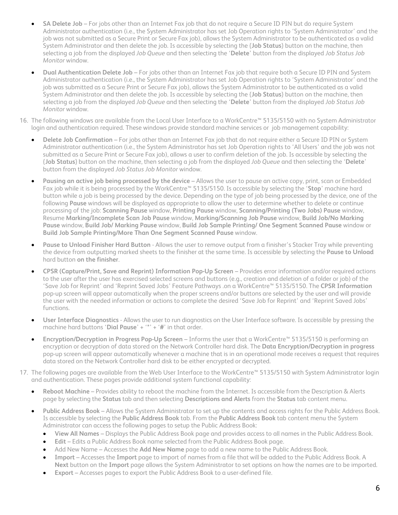- **SA Delete Job**  For jobs other than an Internet Fax job that do not require a Secure ID PIN but do require System Administrator authentication (i.e., the System Administrator has set Job Operation rights to 'System Administrator' and the job was not submitted as a Secure Print or Secure Fax job), allows the System Administrator to be authenticated as a valid System Administrator and then delete the job. Is accessible by selecting the {**Job Status**} button on the machine, then selecting a job from the displayed *Job Queue* and then selecting the '**Delete**' button from the displayed *Job Status Job Monitor* window.
- **Dual Authentication Delete Job**  For jobs other than an Internet Fax job that require both a Secure ID PIN and System Administrator authentication (i.e., the System Administrator has set Job Operation rights to 'System Administrator' and the job was submitted as a Secure Print or Secure Fax job), allows the System Administrator to be authenticated as a valid System Administrator and then delete the job. Is accessible by selecting the {**Job Status**} button on the machine, then selecting a job from the displayed *Job Queue* and then selecting the '**Delete**' button from the displayed *Job Status Job Monitor* window.
- 16. The following windows are available from the Local User Interface to a WorkCentre™ 5135/5150 with no System Administrator login and authentication required. These windows provide standard machine services or job management capability:
	- **Delete Job Confirmation**  For jobs other than an Internet Fax job that do not require either a Secure ID PIN or System Administrator authentication (i.e., the System Administrator has set Job Operation rights to 'All Users' and the job was not submitted as a Secure Print or Secure Fax job), allows a user to confirm deletion of the job. Is accessible by selecting the {**Job Status**} button on the machine, then selecting a job from the displayed *Job Queue* and then selecting the '**Delete**' button from the displayed *Job Status Job Monitor* window.
	- **Pausing an active job being processed by the device**  Allows the user to pause an active copy, print, scan or Embedded Fax job while it is being processed by the WorkCentre™ 5135/5150. Is accessible by selecting the '**Stop**' machine hard button while a job is being processed by the device. Depending on the type of job being processed by the device, one of the following **Pause** windows will be displayed as appropriate to allow the user to determine whether to delete or continue processing of the job: **Scanning Pause** window, **Printing Pause** window, **Scanning/Printing (Two Jobs) Pause** window, Resume **Marking/Incomplete Scan Job Pause** window, **Marking/Scanning Job Pause** window, **Build Job/No Marking Pause** window, **Build Job/ Marking Pause** window, **Build Job Sample Printing/ One Segment Scanned Pause** window or **Build Job Sample Printing/More Than One Segment Scanned Pause** window.
	- **Pause to Unload Finisher Hard Button**  Allows the user to remove output from a finisher's Stacker Tray while preventing the device from outputting marked sheets to the finisher at the same time. Is accessible by selecting the **Pause to Unload**  hard button **on the finisher**.
	- **CPSR (Capture/Print, Save and Reprint) Information Pop-Up Screen**  Provides error information and/or required actions to the user after the user has exercised selected screens and buttons (e.g., creation and deletion of a folder or job) of the 'Save Job for Reprint' and 'Reprint Saved Jobs' Feature Pathways .on a WorkCentre™ 5135/5150. The **CPSR Information**  pop-up screen will appear automatically when the proper screens and/or buttons are selected by the user and will provide the user with the needed information or actions to complete the desired 'Save Job for Reprint' and 'Reprint Saved Jobs' functions.
	- **User Interface Diagnostics** Allows the user to run diagnostics on the User Interface software. Is accessible by pressing the machine hard buttons '**Dial Pause**' + '**\***' + '**#**' in that order.
	- **Encryption/Decryption in Progress Pop-Up Screen**  Informs the user that a WorkCentre™ 5135/5150 is performing an encryption or decryption of data stored on the Network Controller hard disk. The **Data Encryption/Decryption in progress** pop-up screen will appear automatically whenever a machine that is in an operational mode receives a request that requires data stored on the Network Controller hard disk to be either encrypted or decrypted.
- 17. The following pages are available from the Web User Interface to the WorkCentre™ 5135/5150 with System Administrator login and authentication. These pages provide additional system functional capability:
	- **Reboot Machine** Provides ability to reboot the machine from the Internet. Is accessible from the Description & Alerts page by selecting the **Status** tab and then selecting **Descriptions and Alerts** from the **Status** tab content menu.
	- **Public Address Book** Allows the System Administrator to set up the contents and access rights for the Public Address Book. Is accessible by selecting the **Public Address Book** tab. From the **Public Address Book** tab content menu the System Administrator can access the following pages to setup the Public Address Book:
		- **View All Names**  Displays the Public Address Book page and provides access to all names in the Public Address Book.
		- **Edit** Edits a Public Address Book name selected from the Public Address Book page.
		- Add New Name Accesses the **Add New Name** page to add a new name to the Public Address Book.
		- **Import** Accesses the **Import** page to import of names from a file that will be added to the Public Address Book. A **Next** button on the **Import** page allows the System Administrator to set options on how the names are to be imported.
		- **Export** Accesses pages to export the Public Address Book to a user-defined file.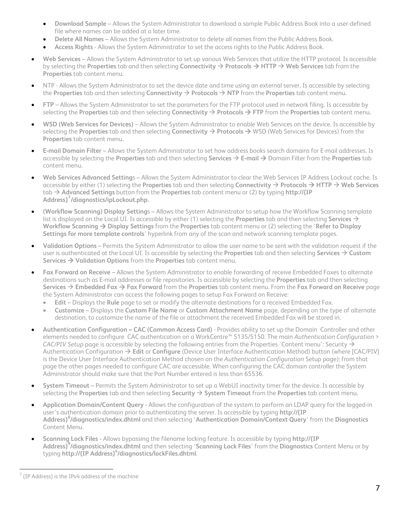- **Download Sample** Allows the System Administrator to download a sample Public Address Book into a user-defined file where names can be added at a later time.
- **Delete All Names** Allows the System Administrator to delete all names from the Public Address Book.
- **Access Rights**  Allows the System Administrator to set the access rights to the Public Address Book.
- **Web Services**  Allows the System Administrator to set up various Web Services that utilize the HTTP protocol. Is accessible by selecting the **Properties** tab and then selecting **Connectivity** → **Protocols → HTTP** → Web Services tab from the **Properties** tab content menu**.**
- NTP Allows the System Administrator to set the device date and time using an external server. Is accessible by selecting the **Properties** tab and then selecting **Connectivity**  $\rightarrow$  **Protocols**  $\rightarrow$  **NTP** from the **Properties** tab content menu.
- **FTP**  Allows the System Administrator to set the parameters for the FTP protocol used in network filing. Is accessible by selecting the **Properties** tab and then selecting **Connectivity**  $\rightarrow$  **Protocols**  $\rightarrow$  **FTP** from the **Properties** tab content menu.
- **WSD (Web Services for Devices)**  Allows the System Administrator to enable Web Services on the device. Is accessible by selecting the **Properties** tab and then selecting *Connectivity*  $\rightarrow$  Protocols  $\rightarrow$  WSD (Web Services for Devices) from the **Properties** tab content menu**.**
- **E-mail Domain Filter**  Allows the System Administrator to set how address books search domains for E-mail addresses. Is accessible by selecting the **Properties** tab and then selecting **Services**  $\rightarrow$  **E-mail**  $\rightarrow$  Domain Filter from the **Properties** tab content menu**.**
- **Web Services Advanced Setting**s Allows the System Administrator to clear the Web Services IP Address Lockout cache. Is accessible by either (1) selecting the **Properties** tab and then selecting **Connectivity**  $\rightarrow$  **Protocols**  $\rightarrow$  HTTP  $\rightarrow$  Web Services tab Æ **Advanced Settings** button from the **Properties** tab content menu or (2) by typing **http://{IP Address}[7](#page-7-0) /diagnostics/ipLockout.php.**
- **(Workflow Scanning) Display Setting**s Allows the System Administrator to setup how the Workflow Scanning template list is displayed on the Local UI. Is accessible by either (1) selecting the **Properties** tab and then selecting **Services**  $\rightarrow$ **Workflow Scanning**  $\rightarrow$  **Display Settings** from the Properties tab content menu or (2) selecting the 'Refer to Display **Settings for more template controls**' hyperlink from any of the scan and network scanning template pages.
- **Validation Options**  Permits the System Administrator to allow the user name to be sent with the validation request if the user is authenticated at the Local UI. Is accessible by selecting the **Properties** tab and then selecting **Services**  $\rightarrow$  Custom **Services → Validation Options** from the **Properties** tab content menu.
- **Fax Forward on Receive** Allows the System Administrator to enable forwarding of receive Embedded Faxes to alternate destinations such as E-mail addresses or file repositories. Is accessible by selecting the **Properties** tab and then selecting **Services → Embedded Fax → Fax Forward** from the Properties tab content menu. From the Fax Forward on Receive page the System Administrator can access the following pages to setup Fax Forward on Receive:
	- **Edit**  Displays the **Rule** page to set or modify the alternate destinations for a received Embedded Fax.
	- **Customize**  Displays the **Custom File Name** or **Custom Attachment Name** page, depending on the type of alternate destination, to customize the name of the file or attachment the received Embedded Fax will be stored in.
- **Authentication Configuration CAC (Common Access Card)** Provides ability to set up the Domain Controller and other elements needed to configure CAC authentication on a WorkCentre™ 5135/5150. The main *Authentication Configuration > CAC/PIV Setup* page is accessible by selecting the following entries from the Properties 'Content menu': Security  $\rightarrow$ Authentication Configuration Æ **Edit** or **Configure** (Device User Interface Authentication Method) button (where [CAC/PIV] is the Device User Interface Authentication Method chosen on the *Authentication Configuration* Setup page); from that page the other pages needed to configure CAC are accessible. When configuring the CAC domain controller the System Administrator should make sure that the Port Number entered is less than 65536.
- **System Timeout**  Permits the System Administrator to set up a WebUI inactivity timer for the device. Is accessible by selecting the **Properties** tab and then selecting **Security**  $\rightarrow$  **System Timeout** from the **Properties** tab content menu.
- **Application Domain/Content Query** Allows the configuration of the system to perform an LDAP query for the logged-in user's authentication domain prior to authenticating the server. Is accessible by typing **http://{IP Address}8 /diagnostics/index.dhtml** and then selecting '**Authentication Domain/Context Query**' from the **Diagnostics** Content Menu.
- **Scanning Lock Files** Allows bypassing the filename locking feature. Is accessible by typing **http://{IP Address}9 /diagnostics/index.dhtml** and then selecting '**Scanning Lock Files**' from the **Diagnostics** Content Menu or by typing **http://{IP Address}<sup>4</sup> /diagnostics/lockFiles.dhtml**.

<span id="page-7-0"></span>È,  $7$  {IP Address} is the IPv4 address of the machine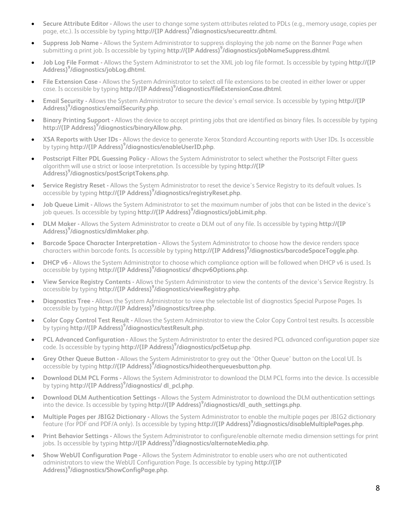- **Secure Attribute Editor** Allows the user to change some system attributes related to PDLs (e.g., memory usage, copies per page, etc.). Is accessible by typing **http://{IP Address}<sup>9</sup> /diagnostics/secureattr.dhtml**.
- **Suppress Job Name** Allows the System Administrator to suppress displaying the job name on the Banner Page when submitting a print job. Is accessible by typing **http://{IP Address}<sup>9</sup> /diagnostics/jobNameSuppress.dhtml**.
- **Job Log File Format** Allows the System Administrator to set the XML job log file format. Is accessible by typing **http://{IP Address}9 /diagnostics/jobLog.dhtml**.
- **File Extension Case** Allows the System Administrator to select all file extensions to be created in either lower or upper case. Is accessible by typing **http://{IP Address}<sup>9</sup> /diagnostics/fileExtensionCase.dhtml**.
- **Email Security** Allows the System Administrator to secure the device's email service. Is accessible by typing **http://{IP Address}9 /diagnostics/emailSecurity.php**.
- **Binary Printing Support** Allows the device to accept printing jobs that are identified as binary files. Is accessible by typing **http://{IP Address}<sup>9</sup> /diagnostics/binaryAllow.php.**
- **XSA Reports with User IDs** Allows the device to generate Xerox Standard Accounting reports with User IDs. Is accessible by typing **http://{IP Address}<sup>9</sup> /diagnostics/enableUserID.php**.
- **Postscript Filter PDL Guessing Policy** Allows the System Administrator to select whether the Postscript Filter guess algorithm will use a strict or loose interpretation. Is accessible by typing **http://{IP Address}9 /diagnostics/postScriptTokens.php**.
- **Service Registry Reset** Allows the System Administrator to reset the device's Service Registry to its default values. Is accessible by typing **http://{IP Address}<sup>9</sup> /diagnostics/registryReset.php**.
- **Job Queue Limit** Allows the System Administrator to set the maximum number of jobs that can be listed in the device's job queues. Is accessible by typing **http://{IP Address}<sup>9</sup> /diagnostics/jobLimit.php**.
- **DLM Maker** Allows the System Administrator to create a DLM out of any file. Is accessible by typing **http://{IP Address}9 /diagnostics/dlmMaker.php**.
- **Barcode Space Character Interpretation** Allows the System Administrator to choose how the device renders space characters within barcode fonts. Is accessible by typing **http://{IP Address}<sup>9</sup> /diagnostics/barcodeSpaceToggle.php**.
- **DHCP v6** Allows the System Administrator to choose which compliance option will be followed when DHCP v6 is used. Is accessible by typing **http://{IP Address}<sup>9</sup> /diagnostics/ dhcpv6Options.php**.
- **View Service Registry Contents** Allows the System Administrator to view the contents of the device's Service Registry. Is accessible by typing **http://{IP Address}<sup>9</sup> /diagnostics/viewRegistry.php**.
- **Diagnostics Tree** Allows the System Administrator to view the selectable list of diagnostics Special Purpose Pages. Is accessible by typing **http://{IP Address}<sup>9</sup> /diagnostics/tree.php**.
- **Color Copy Control Test Result** Allows the System Administrator to view the Color Copy Control test results. Is accessible by typing **http://{IP Address}<sup>9</sup> /diagnostics/testResult.php**.
- **PCL Advanced Configuration** Allows the System Administrator to enter the desired PCL advanced configuration paper size code. Is accessible by typing **http://{IP Address}9 /diagnostics/pclSetup.php**.
- **Grey Other Queue Button** Allows the System Administrator to grey out the 'Other Queue' button on the Local UI. Is accessible by typing **http://{IP Address}<sup>9</sup> /diagnostics/hideotherqueuesbutton.php**.
- **Download DLM PCL Forms** Allows the System Administrator to download the DLM PCL forms into the device. Is accessible by typing **http://{IP Address}<sup>9</sup> /diagnostics/ dl\_pcl.php**.
- **Download DLM Authentication Settings** Allows the System Administrator to download the DLM authentication settings into the device. Is accessible by typing **http://{IP Address}<sup>9</sup> /diagnostics/dl\_auth\_settings.php**.
- **Multiple Pages per JBIG2 Dictionary** Allows the System Administrator to enable the multiple pages per JBIG2 dictionary feature (for PDF and PDF/A only). Is accessible by typing **http://{IP Address}<sup>9</sup> /diagnostics/disableMultiplePages.php**.
- **Print Behavior Settings** Allows the System Administrator to configure/enable alternate media dimension settings for print jobs. Is accessible by typing **http://{IP Address}<sup>9</sup> /diagnostics/alternateMedia.php**.
- **Show WebUI Configuration Page** Allows the System Administrator to enable users who are not authenticated administrators to view the WebUI Configuration Page. Is accessible by typing **http://{IP Address}9 /diagnostics/ShowConfigPage.php**.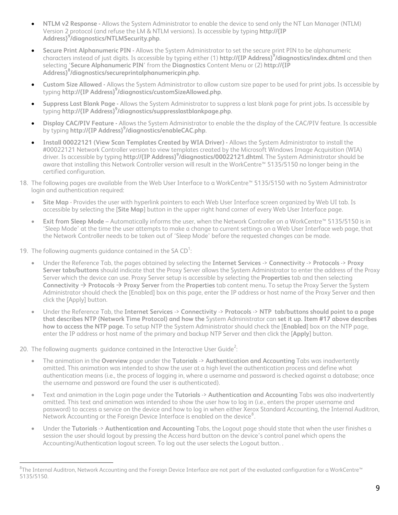- **NTLM v2 Response** Allows the System Administrator to enable the device to send only the NT Lan Manager (NTLM) Version 2 protocol (and refuse the LM & NTLM versions). Is accessible by typing **http://{IP Address}9 /diagnostics/NTLMSecurity.php**.
- **Secure Print Alphanumeric PIN** Allows the System Administrator to set the secure print PIN to be alphanumeric characters instead of just digits. Is accessible by typing either (1) **http://{IP Address}<sup>9</sup> /diagnostics/index.dhtml** and then selecting '**Secure Alphanumeric PIN**' from the **Diagnostics** Content Menu or (2) **http://{IP Address}8 /diagnostics/secureprintalphanumericpin.php**.
- **Custom Size Allowed** Allows the System Administrator to allow custom size paper to be used for print jobs. Is accessible by typing **http://{IP Address}<sup>9</sup> /diagnostics/customSizeAllowed.php**.
- **Suppress Last Blank Page** Allows the System Administrator to suppress a last blank page for print jobs. Is accessible by typing **http://{IP Address}<sup>9</sup> /diagnostics/suppresslastblankpage.php**.
- **Display CAC/PIV Feature** Allows the System Administrator to enable the the display of the CAC/PIV feature. Is accessible by typing **http://{IP Address}<sup>9</sup> /diagnostics/enableCAC.php**.
- **Install 00022121 (View Scan Templates Created by WIA Driver)** Allows the System Administrator to install the #00022121 Network Controller version to view templates created by the Microsoft Windows Image Acquisition (WIA) driver. Is accessible by typing **http://{IP Address}<sup>9</sup> /diagnostics/00022121.dhtml**. The System Administrator should be aware that installing this Network Controller version will result in the WorkCentre™ 5135/5150 no longer being in the certified configuration.
- 18. The following pages are available from the Web User Interface to a WorkCentre™ 5135/5150 with no System Administrator login and authentication required:
	- **Site Map** Provides the user with hyperlink pointers to each Web User Interface screen organized by Web UI tab. Is accessible by selecting the [**Site Map**] button in the upper right hand corner of every Web User Interface page.
	- **Exit from Sleep Mode** Automatically informs the user, when the Network Controller on a WorkCentre™ 5135/5150 is in 'Sleep Mode' at the time the user attempts to make a change to current settings on a Web User Interface web page, that the Network Controller needs to be taken out of 'Sleep Mode' before the requested changes can be made.
- 19. The following augments guidance contained in the SA  $CD^1$ :

È,

- Under the Reference Tab, the pages obtained by selecting the **Internet Services** -> **Connectivity** -> **Protocols** -> **Proxy Server tabs/buttons** should indicate that the Proxy Server allows the System Administrator to enter the address of the Proxy Server which the device can use. Proxy Server setup is accessible by selecting the **Properties** tab and then selecting **Connectivity**  $\rightarrow$  **Protocols**  $\rightarrow$  **Proxy Server** from the **Properties** tab content menu. To setup the Proxy Server the System Administrator should check the [Enabled] box on this page, enter the IP address or host name of the Proxy Server and then click the [Apply] button.
- Under the Reference Tab, the **Internet Services** -> **Connectivity** -> **Protocols** -> **NTP tab/buttons should point to a page that describes NTP (Network Time Protocol) and how the** System Administrator can **set it up. Item #17 above describes how to access the NTP page.** To setup NTP the System Administrator should check the [**Enabled**] box on the NTP page, enter the IP address or host name of the primary and backup NTP Server and then click the [**Apply**] button.

20. The following augments guidance contained in the Interactive User Guide<sup>2</sup>:

- The animation in the **Overview** page under the **Tutorials** -> **Authentication and Accounting** Tabs was inadvertently omitted. This animation was intended to show the user at a high level the authentication process and define what authentication means (i.e., the process of logging in, where a username and password is checked against a database; once the username and password are found the user is authenticated).
- Text and animation in the Login page under the **Tutorials** -> **Authentication and Accounting** Tabs was also inadvertently omitted. This text and animation was intended to show the user how to log in (i.e., enters the proper username and password) to access a service on the device and how to log in when either Xerox Standard Accounting, the Internal Auditron, Network Accounting or the Foreign Device Interface is enabled on the device $^8\!.$  $^8\!.$  $^8\!.$
- Under the **Tutorials** -> **Authentication and Accounting** Tabs, the Logout page should state that when the user finishes a session the user should logout by pressing the Access hard button on the device's control panel which opens the Accounting/Authentication logout screen. To log out the user selects the Logout button. .

<span id="page-9-0"></span> $^8$ The Internal Auditron, Network Accounting and the Foreign Device Interface are not part of the evaluated configuration for a WorkCentre™ 5135/5150.